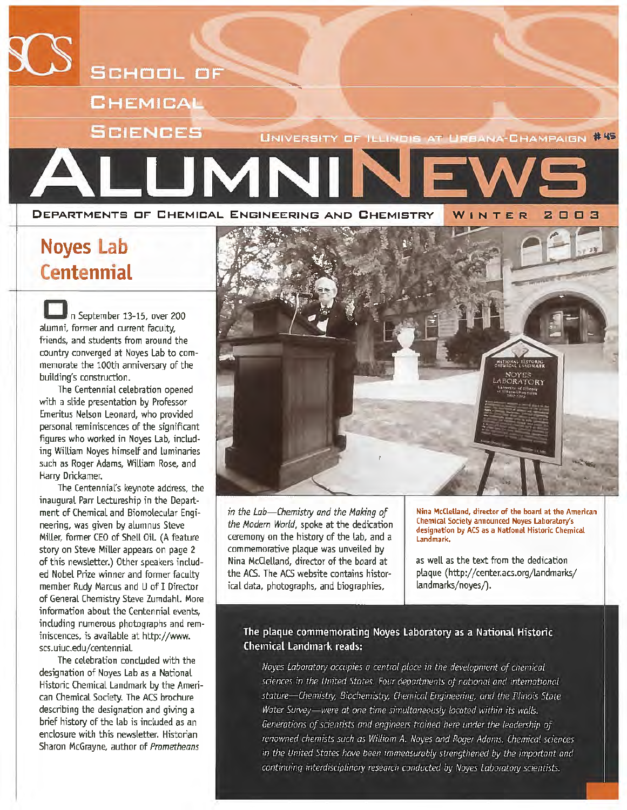

### **Noyes Lab Centennial**

n September 13-15, over 200 alumni, former and current faculty, friends, and students from around the country converged at Noyes Lab to commemorate the 100th anniversary of the building's construction.

The Centennial celebration opened with a slide presentation by Professor Emeritus Nelson Leonard, who provided personal reminiscences of the significant figures who worked in Noyes Lab, including William Noyes himself and luminaries such as Roger Adams, William Rose, and Harry Drickamer.

The Centennial's keynote address, the inaugural Parr Lectureship in the Department of Chemical and Biomolecular Engineering, was given by alumnus Steve MiUer, former CEO of Shell Oil. (A feature story on Steve Miller appears on page 2 of this newsletter.) Other speakers included Nobel Prize winner and former faculty member Rudy Marcus and U of I Director of General Chemistry Steve Zumdahl. More information about the Centennial events, including numerous photographs and reminiscences, is available at http://www. scs.uiuc.edu/centenniaL

The celebration concluded with the designation of Noyes Lab as a National Historic Chemical Landmark by the American Chemical Society. The ACS brochure describing the designation and giving a brief history of the lab is included as an enclosure with this newsletter. Historian Sharon McGrayne, author of *Prometheans* 



*in the Lab-Chemistry and the Making of the Modem World,* spoke at the dedication ceremony on the history of the lab, and a commemorative plaque was unveiled by Nina McClelland, director of the board at the ACS. The ACS website contains historical data, photographs, and biographies,

Nina McClelland, director of the board at the American Chemical Society announced Noyes Laboratory's designation by ACS as a National Historic Chemical Landmark.

as well as the text from the dedication plaque (http://center.acs.org/landmarks/ landmarks/noyes/).

#### The plaque commemorating Noyes Laboratory as a National Historic **Chemical Landmark reads:**

Noves Laboratory occupies a central place in the development of chemical sciences in the United States. Four departments of national and international stature-Chemistry, Biochemistry, Chemical Engineering, and the Illinois State Water Survey-were at one time simultaneously located within its walls. Generations of scientists and engineers trained here under the leadership of renowned chemists such as William A. Noyes and Roger Adams. Chemical sciences in the United States have been immeasurably strengthened by the important and continuing interdisciplinary research conducted by Noves Laboratory scientists.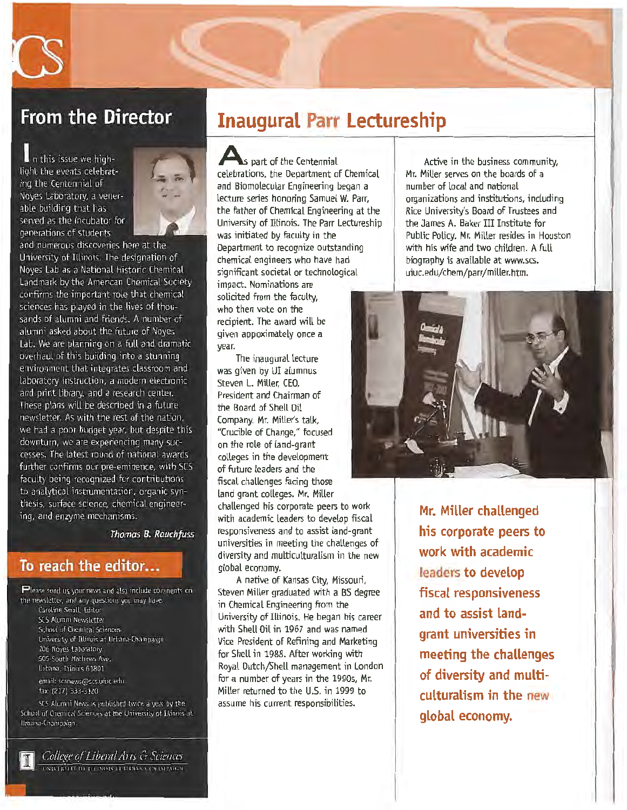

### **From the Director**

In this issue we highlight the events celebrating the Centennial of Noves Laboratory, a venerable building that has served as the incubator for generations of students



and numerous discoveries here at the University of Illinois. The designation of Noves Lab as a National Historic Chemical Landmark by the American Chemical Society confirms the important role that chemical sciences has played in the lives of thousands of alumni and friends. A number of alumni asked about the future of Noyes Lab. We are planning on a full and dramatic overhaul of this building into a stunning environment that integrates classroom and laboratory instruction, a modern electronic and print library, and a research center. These plans will be described in a future newsletter. As with the rest of the nation. we had a poor budget year, but despite this downturn, we are experiencing many successes. The latest round of national awards further confirms our pre-eminence, with SCS faculty being recognized for contributions to analytical instrumentation, organic synthesis, surface science, chemical engineering, and enzyme mechanisms.

Thomas B. Rauchfuss

#### To reach the editor...

Please send us your news and also include comments on the newsletter, and any questions you may have. Caroline Small, Editor SCS Alumni Newsletter School of Chemical Sciences University of Illinois at Urbana-Champaign 106 Noyes Laboratory 505 South Mathews Ave. Urbana, Illinois 61801 email: scsnews@scs.uiuc.edu fax: (217) 333-3120

SCS Alumni News is published twice a year by the School of Chemical Sciences at the University of Illinois at Urbana-Champaign.



### **Inaugural Parr Lectureship**

**A** part of the Centennial celebrations, the Department of Chemical and Biomolecular Engineering began a lecture series honoring Samuel W. Parr, the father of Chemical Engineering at the University of Illinois. The Parr Lectureship was initiated by faculty in the Department to recognize outstanding chemical engineers who have had significant societal or technological impact. Nominations are solicited from the faculty, who then vote on the recipient. The award will be given appoximately once a year.

The inaugural lecture was given by UI alumnus Steven L. Miller, CEO, President and Chairman of the Board of Shell Oil Company. Mr. Miller's talk, "Crucible of Change," focused on the role of land-grant colleges in the development of future leaders and the fiscal challenges facing those land grant colleges. Mr. Miller challenged his corporate peers to work with academic leaders to develop fiscal responsiveness and to assist land-grant universities in meeting the challenges of diversity and multiculturalism in the new global economy.

A native of Kansas City, Missouri, Steven Miller graduated with a BS degree in Chemical Engineering from the University of Illinois. He began his career with Shell Oil in 1967 and was named Vice President of Refining and Marketing for Shell in 1988. After working with Royal Dutch/Shell management in London for a number of years in the 1990s, Mr. Miller returned to the U.S. in 1999 to assume his current responsibilities.

Active in the business community, Mr. Miller serves on the boards of a number of local and national organizations and institutions, including Rice University's Board of Trustees and the James A. Baker III Institute for Public Policy. Mr. Miller resides in Houston with his wife and two children. A full biography is available at www.scs. uiuc.edu/chem/parr/miller.htm.



**Mr. Miller challenged his corporate peers to work with academic leaders to develop fiscal responsiveness and to assist landgrant universities in meeting the challenges of diversity and multiculturalism in the new global economy.**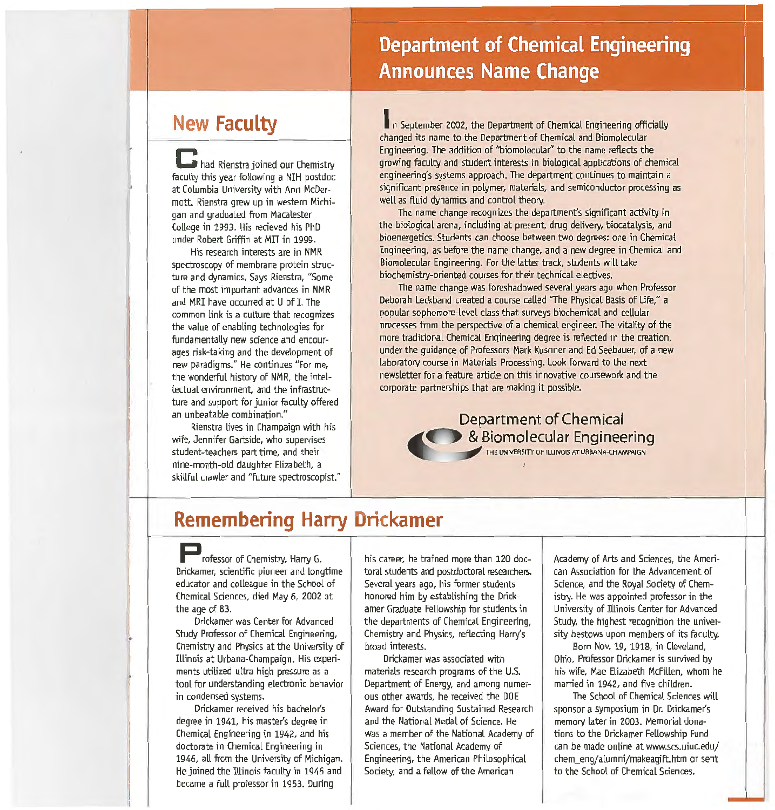### **Department of Chemical Engineering Announces Name Change**

### **New Faculty**

**C** had Rienstra joined our Chemistry faculty this year following a NIH postdoc at Columbia University with Ann McDermott. Rienstra grew up in western Michigan and graduated from Macalester College in 1993. His recieved his PhD under Robert Griffin at MIT in 1999.

His research interests are in NMR spectroscopy of membrane protein structure and dynamics. Says Rienstra, "Some of the most important advances in NMR and MRI have occurred at U of I. The common link is a culture that recognizes the value of enabling technologies for fundamentally new science and encourages risk-taking and the development of new paradigms." He continues "For me, the wonderful history of NMR, the intellectual environment. and the infrastructure and support for junior faculty offered an unbeatable combination."

Rienstra lives in Champaign with his wife, Jennifer Gartside, who supervises student-teachers part time, and their nine-month-old daughter Elizabeth, a skillful crawler and "future spectroscopist."

In September 2002, the Department of Chemical Engineering officially changed its name to the Department of Chemical and Biomolecular Engineering. The addition of "biomolecular'' to the name reflects the growing faculty and student interests in biological applications of chemical engineering's systems approach. The department continues to maintain a significant presence in polymer, materials, and semiconductor processing as well as fluid dynamics and control theory.

The name change recognizes the department's significant activity in the biological arena, including at present, drug delivery, biocatalysis, and bioenergetics. Students can choose between two degrees: one in Chemical Engineering, as before the name change, and a new degree in Chemical and Biomolecular Engineering. For the latter track, students will take biochemistry-oriented courses for their technical electives.

The name change was foreshadowed several years ago when Professor Deborah Leckband created a course called "The Physical Basis of Life," a popular sophomore-level class that surveys biochemical and cellular processes from the perspective of a chemical engineer. The vitality of the more traditional Chemical Engineering degree is reflected in the creation, under the guidance of Professors Mark Kushner and Ed Seebauer, of a new laboratory course in Materials Processing. Look forward to the next newsletter for a feature article on this innovative coursework and the corporate partnerships that are making it possible.

> **Department of Chemical & Biomolecular Engineering**

> > I

### **Remembering Harry Drickamer**

**P** rofessor of Chemistry, Harry G. Drickamer, scientific pioneer and longtime educator and colleague in the School of Chemical Sciences, died May 6, 2002 at the age of 83.

Orickamer was Center for Advanced Study Professor of Chemical Engineering, Chemistry and Physics at the University of Illinois at Urbana-Champaign. His experiments utilized ultra high pressure as a tool for understanding electronic behavior in condensed systems.

Drickamer received his bachelor's degree in 1941, his master's degree in Chemical Engineering in 1942, and his doctorate in Chemical Engineering in 1946, all from the University of Michigan. He joined the Illinois faculty in 1946 and became a full professor in 1953. During

his career, he trained more than 120 doctoral students and postdoctoral researchers. Several years ago, his former students honored him by establishing the Drickamer Graduate Fellowship for students in the departments of Chemical Engineering, Chemistry and Physics, reflecting Harry's broad interests.

Drickamer was associated with materials research programs of the U.S. Department of Energy, and among numerous other awards, he received the DOE Award for Outstanding Sustained Research and the National Medal of Science. He was a member of the National Academy of Sciences, the National Academy of Engineering, the American Philosophical Society, and a fellow of the American

Academy of Arts and Sciences, the American Association for the Advancement of Science, and the Royal Society of Chemistry. He was appointed professor in the University of Illinois Center for Advanced Study, the highest recognition the university bestows upon members of its faculty.

Born Nov. 19, 1918, in Cleveland, Ohio, Professor Drickamer is survived by his wife, Mae Elizabeth McFillen, whom he married in 1942, and five children.

The School of Chemical Sciences will sponsor a symposium in Dr. Drickamer's memory later in 2003. Memorial donations to the Drickamer Fellowship Fund can be made online at www.scs.uiuc.edu/ chem\_eng/alumni/makeagift.htm or sent to the School of Chemical Sciences.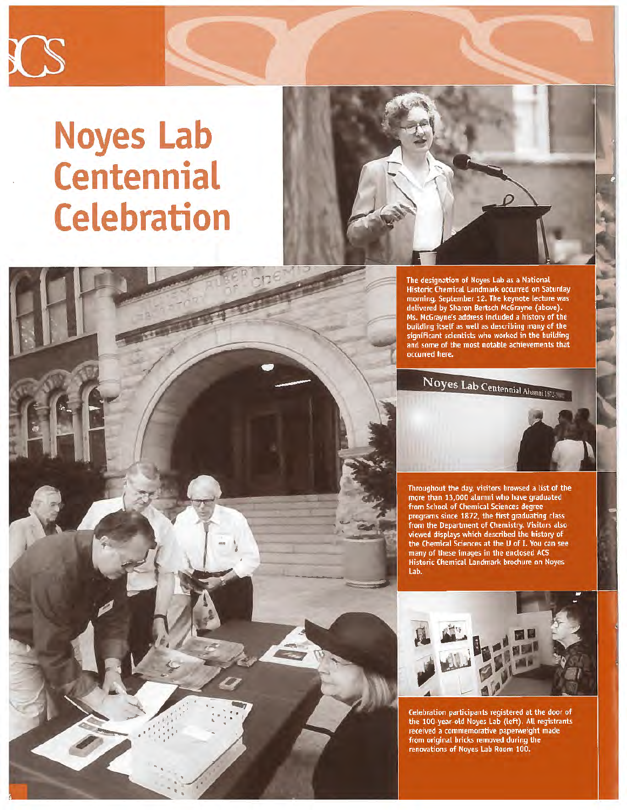

# **Noyes Lab Centennial Celebration**





The designation of Noyes Lab as a National Historic Chemical Landmark occurred on Saturday morning, September 12. The keynote lecture was<br>delivered by Sharon Bertsch McGrayne (above). Ms. McGrayne's address included a history of the building itself as well as describing many of the significant scientists who worked in the building and some of the most notable achievements that occurred here.

Noyes Lab Centennial Alumni 157.

Throughout the day, visitors browsed a list of the<br>more than 13,000 alumni who have graduated from School of Chemical Sciences degree programs since 1872, the first graduating class From the Department of Chemistry. Visitors also<br>viewed displays which described the history of<br>the Chemical Sciences at the U of I. You can see many of these images in the enclosed ACS Historic Chemical Landmark brochure on Noyes Lab.



Celebration participants registered at the door of the 100-year-old Noyes Lab (left). All registrants received a commemorative paperweight made<br>from original bricks removed during the renovations of Noyes Lab Room 100.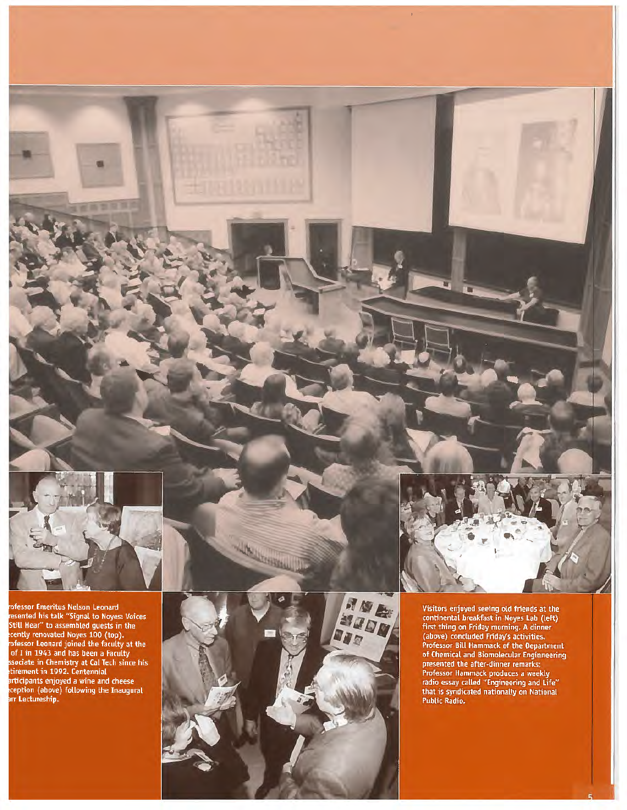

rofessor Emeritus Nelson Leonard<br>resented his talk "Signal to Noyes: Voices<br>Still Hear" to assembled guests in the<br>cently renovated Noyes 100 (top).<br>rofessor Leonard joined the faculty at the<br>of I in 1943 and has been a Fa



No. of Children



 $\mathbb{R}^2$ 

Visitors enjoyed seeing old friends at the<br>continental breakfast in Noyes Lab (left)<br>first thing on Friday morning. A dinner<br>(above) concluded Friday's activities.<br>Professor Bill Hammack of the Department **Professor Bill Hammack of the Uepartment**<br>of Chemical and Biomolecular Engineering<br>presented the after-dinner remarks;<br>Professor Hammack produces a weekly<br>radio essay called "Engineering and Life"<br>that is syndicated natio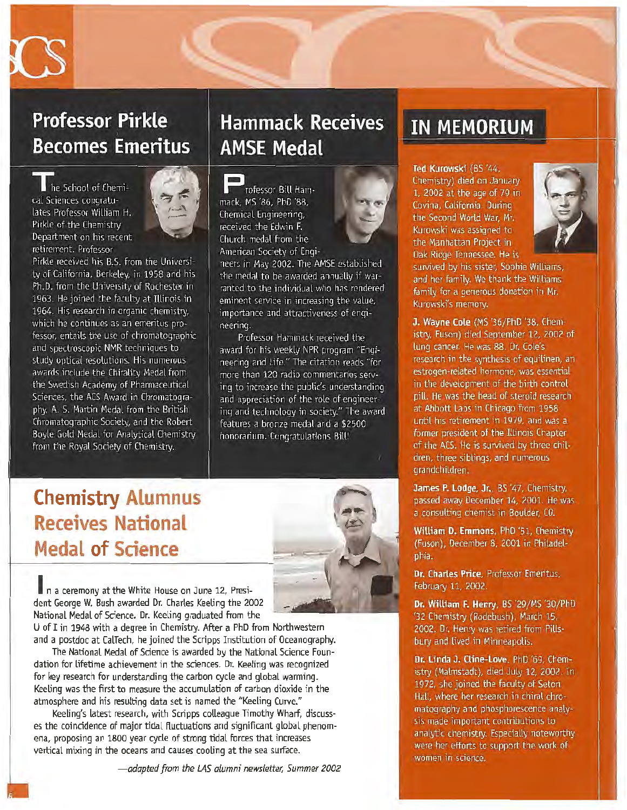

### **Professor Pirkle Becomes Emeritus**

he School of Chemical Sciences congratulates Professor William H. Pirkle of the Chemistry Denartment on his recent retirement. Professor



Pirkle received his B.S. from the University of California. Berkeley, in 1958 and his Ph.D. from the University of Rochester in 1963. He joined the faculty at Illinois in 1964. His research in organic chemistry. which he continues as an emeritus professor, entails the use of chromatographic and spectroscopic NMR techniques to study optical resolutions. His numerous awards include the Chirality Medal from the Swedish Academy of Pharmaceutical Sciences, the ACS Award in Chromatography, A. S. Martin Medal from the British Chromatographic Society, and the Robert Boyle Gold Medal for Analytical Chemistry from the Royal Society of Chemistry.

### **Hammack Receives AMSE Medal**

rofessor Bill Hammack. MS '86. PhD '88. Chemical Engineering. received the Edwin F. Church medal from the American Society of Engi-



neers in May 2002. The AMSE established the medal to be awarded annually if warranted to the individual who has rendered eminent service in increasing the value, importance and attractiveness of engineering.

Professor Hammack received the award for his weekly NPR program "Engineering and Life." The citation reads "for more than 120 radio commentaries serving to increase the public's understanding and appreciation of the role of engineering and technology in society." The award features a bronze medal and a \$2500 honorarium. Congratulations Bill!

### **Chemistry Alumnus Receives National Medal of Science**



n a ceremony at the White House on June 12, President George W. Bush awarded Dr. Charles Keeling the 2002 National Medal of Science. Dr. Keeling graduated from the U of I in 1948 with a degree in Chemistry. After a PhD from Northwestern

and a postdoc at CalTech, he joined the Scripps Institution of Oceanography. The National Medal of Science is awarded by the National Science Foundation for lifetime achievement in the sciences. Dr. Keeling was recognized for key research for understanding the carbon cycle and global warming. Keeling was the first to measure the accumulation of carbon dioxide in the atmosphere and his resulting data set is named the "Keeling Curve."

Keeling's latest research, with Scripps colleague Timothy Wharf, discusses the coincidence of major tidal fluctuations and significant global phenomena, proposing an 1800 year cycle of strong tidal forces that increases vertical mixing in the oceans and causes cooling at the sea surface.

### **IN MEMORIUM**

Ted Kurowski (BS '44. Chemistry) died on January 1. 2002 at the age of 79 in Covina, California, During the Second World War. Mr. Kurowski was assigned to the Manhattan Project in Oak Ridge Tennessee. He is



survived by his sister, Sophie Williams, and her family. We thank the Williams family for a generous donation in Mr. Kurowski's memory.

J. Wavne Cole (MS '36/PhD '38, Chemistry, Fuson) died September 12, 2002 of lung cancer. He was 88. Dr. Cole's research in the synthesis of equilinen, an estrogen-related hormone, was essential in the development of the birth control pill. He was the head of steroid research at Abbott Labs in Chicago from 1958 until his retirement in 1979, and was a former president of the Illinois Chapter of the ACS. He is survived by three children, three siblings, and numerous grandchildren.

James P. Lodge, Jr., BS '47, Chemistry, passed away December 14, 2001. He was a consulting chemist in Boulder, CO.

William D. Emmons, PhD '51, Chemistry (Fuson), December 8, 2001 in Philadelphia.

Dr. Charles Price, Professor Emeritus, February 11, 2002.

Dr. William F. Henry, BS '29/MS '30/PhD '32 Chemistry (Rodebush), March 15, 2002. Dr. Henry was retired from Pillsbury and lived in Minneapolis.

Dr. Linda J. Cline-Love. PhD '69, Chemistry (Malmstadt), died July 12, 2002. In 1972, she joined the faculty of Seton Hall, where her research in chiral chromatography and phosphorescence analysis made important contributions to analytic chemistry. Especially noteworthy were her efforts to support the work of women in science.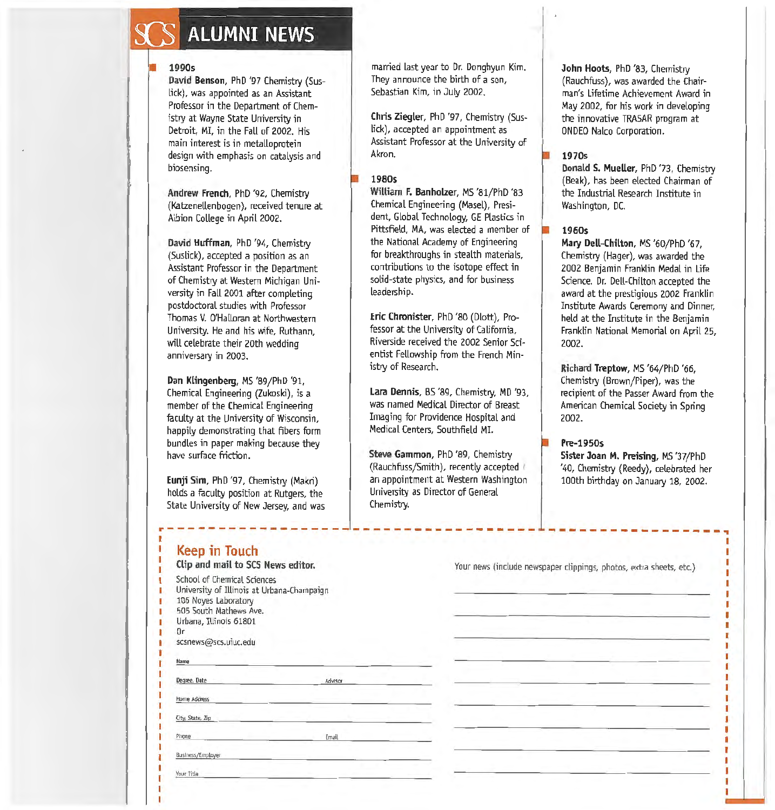## **ALUMNI NEWS**

#### **1990s**

**David Benson,** PhD '97 Chemistry (Suslick), was appointed as an Assistant Professor in the Department of Chemistry at Wayne State University in Detroit, MI, in the FaU of 2002. His main interest is in metalloprotein design with emphasis on catalysis and biosensing.

**Andrew French,** PhD '92, Chemistry (Katzenellenbogen), received tenure at Albion College in April 2002.

**David Huffman,** PhD '94, Chemistry (Suslick), accepted a position as an Assistant Professor in the Department of Chemistry at Western Michigan University in Fall 2001 after completing postdoctoral studies with Professor Thomas V. O'Halloran at Northwestern University. He and his wife, Ruthann, will celebrate their 20th wedding anniversary in 2003.

#### **Dan Klingenberg,** MS '89/PhD '91,

Chemical Engineering (Zukoski), is a member of the Chemical Engineering faculty at the University of Wisconsin, happily demonstrating that fibers form bundles in paper making because they have surface friction.

**Eunji Sim,** PhD '97, Chemistry (Makri) holds a faculty position at Rutgers, the State University of New Jersey, and was

married last year to Dr. Donghyun Kim. They announce the birth of a son, Sebastian Kim, in July 2002.

**Chris Ziegler,** PhD '97, Chemistry (Suslick), accepted an appointment as Assistant Professor at the University of Akron.

#### **1980s**

**WUliam F. Banholzer,** MS '81/PhD '83 Chemical Engineering (Masel), President, Global Technology, GE Plastics in Pittsfield, MA, was elected a member of the National Academy of Engineering for breakthroughs in stealth materials, contributions to the isotope effect in solid-state physics, and for business leadership.

**Eric Chronister,** PhD '80 (Dlott), Professor at the University of California, Riverside received the 2002 Senior Scientist Fellowship from the French Ministry of Research.

**lara Dennis,** BS '89, Chemistry, MD '93, was named Medical Director of Breast Imaging for Providence Hospital and Medical Centers, Southfield MI.

**Steve Gammon,** PhD '89, Chemistry (Rauchfuss/Smith), recently accepted ' an appointment at Western Washington University as Director of General Chemistry.

r---~-------------~-~-----~---------- ~-~------~----~--,

**John Hoots,** PhD '83, Chemistry (Rauchfuss), was awarded the Chairman's Lifetime Achievement Award in May 2002, for his work in developing the innovative TRASAR program at ONDEO Nalco Corporation.

#### **1970s**

**Donald S. Mueller,** PhD '73, Chemistry (Beak), has been elected Chairman of the Industrial Research Institute in Washington, DC.

#### **1960s**

**Mary Dell-Chilton,** MS '60/PhD '67, Chemistry (Hager), was awarded the 2002 Benjamin Franklin Medal in Life Science. Dr. Dell-Chilton accepted the award at the prestigious 2002 Franklin Institute Awards Ceremony and Dinner, held at the Institute in the Benjamin Franklin National Memorial on April 25, 2002.

**Richard Treptow,** MS '64/PhD '66, Chemistry (Brown/Piper), was the recipient of the Passer Award from the American Chemical Society in Spring 2002.

#### **Pre-1950s**

**Sister Joan M. Preising,** MS '37/PhD '40, Chemistry (Reedy), celebrated her 100th birthday on January 18, 2002.

| Keep in Touch |  |
|---------------|--|

| Clip and mail to SCS News editor.                                                                                                                           |         |  |
|-------------------------------------------------------------------------------------------------------------------------------------------------------------|---------|--|
| School of Chemical Sciences<br>University of Illinois at Urbana-Champaign<br>106 Noyes Laboratory<br>505 South Mathews Ave.<br>Urbana, Illinois 61801<br>0r |         |  |
| scsnews@scs.uiuc.edu                                                                                                                                        |         |  |
| Name                                                                                                                                                        |         |  |
| Degree, Date                                                                                                                                                | Advisor |  |
| Home Address                                                                                                                                                |         |  |
| City, State, Zip                                                                                                                                            |         |  |
| Phone                                                                                                                                                       | Email   |  |
| Business/Employer                                                                                                                                           |         |  |
| Your Title                                                                                                                                                  |         |  |

Your news (include newspaper clippings, photos, extra sheets, etc.)